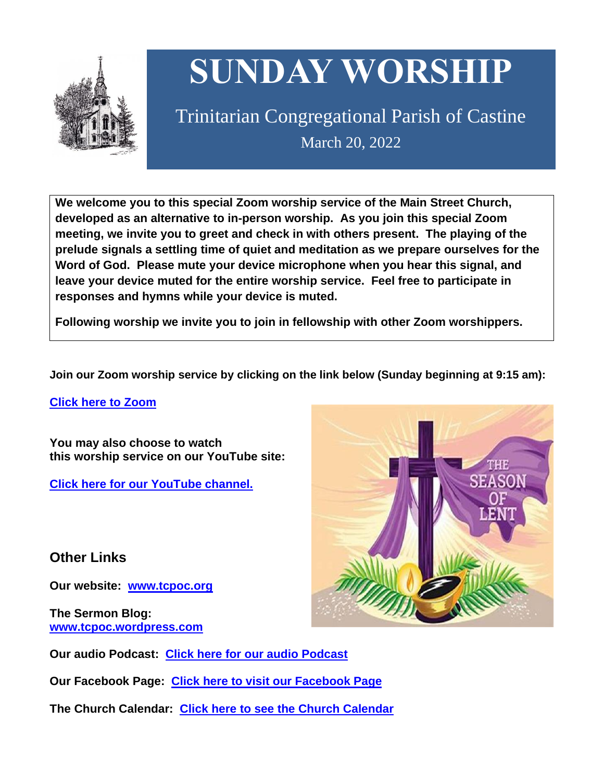

# **SUNDAY WORSHIP**

Trinitarian Congregational Parish of Castine March 20, 2022

**We welcome you to this special Zoom worship service of the Main Street Church, developed as an alternative to in-person worship. As you join this special Zoom meeting, we invite you to greet and check in with others present. The playing of the prelude signals a settling time of quiet and meditation as we prepare ourselves for the Word of God. Please mute your device microphone when you hear this signal, and leave your device muted for the entire worship service. Feel free to participate in responses and hymns while your device is muted.**

**Following worship we invite you to join in fellowship with other Zoom worshippers.**

**Join our Zoom worship service by clicking on the link below (Sunday beginning at 9:15 am):**

**Click here to [Zoom](https://us02web.zoom.us/j/89573448511?pwd=MFRuSFBJR2NWL015RzlyZ1UycmROQT09)**

**You may also choose to watch this worship service on our YouTube site:**

**Click here for our [YouTube](https://www.youtube.com/channel/UC4Bu-O6pN-bdPOqVNg0fBxA) channel.**

**Other Links**

**Our website: [www.tcpoc.org](http://www.tcpoc.org/)**

**The Sermon Blog: [www.tcpoc.wordpress.com](http://www.tcpoc.wordpress.com/)**

**Our audio Podcast: Click here for our audio [Podcast](https://podpoint.com/trinitarian-congregational-parish-of-castine-podcast)**

**Our Facebook Page: Click here to visit our [Facebook](https://www.facebook.com/tcpoc) Page**

**The Church Calendar: Click here to see the Church [Calendar](http://www.tcpoc.org/calendar.html)**

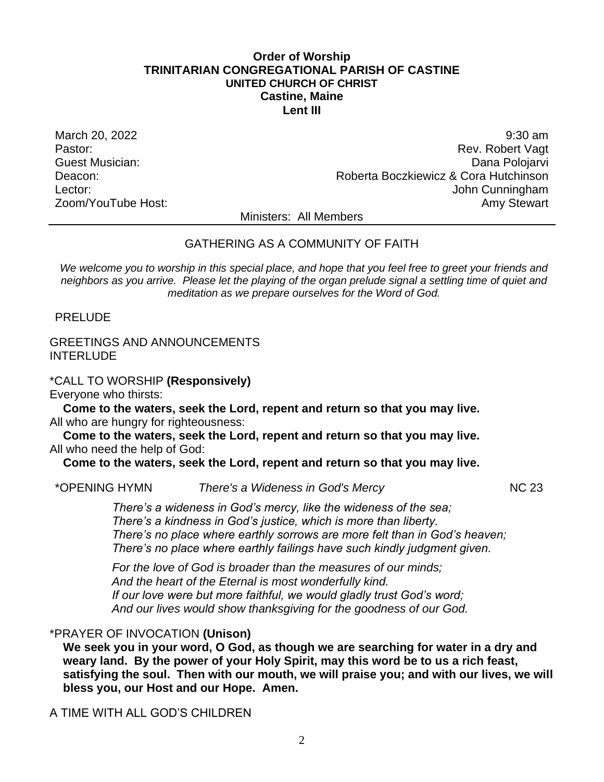# **Order of Worship TRINITARIAN CONGREGATIONAL PARISH OF CASTINE UNITED CHURCH OF CHRIST Castine, Maine Lent III**

March 20, 2022 9:30 am Pastor: Rev. Robert Vagt Guest Musician: Dana Polojarvi Deacon: Roberta Boczkiewicz & Cora Hutchinson Lector: John Cunningham Zoom/YouTube Host: Amy Stewart Communication and Amy Stewart

Ministers: All Members

# GATHERING AS A COMMUNITY OF FAITH

*We welcome you to worship in this special place, and hope that you feel free to greet your friends and neighbors as you arrive. Please let the playing of the organ prelude signal a settling time of quiet and meditation as we prepare ourselves for the Word of God.*

PRELUDE

# GREETINGS AND ANNOUNCEMENTS **INTERLUDE**

\*CALL TO WORSHIP **(Responsively)** Everyone who thirsts:

**Come to the waters, seek the Lord, repent and return so that you may live.** All who are hungry for righteousness:

**Come to the waters, seek the Lord, repent and return so that you may live.** All who need the help of God:

**Come to the waters, seek the Lord, repent and return so that you may live.**

\*OPENING HYMN *There's a Wideness in God's Mercy* NC 23

*There's a wideness in God's mercy, like the wideness of the sea; There's a kindness in God's justice, which is more than liberty. There's no place where earthly sorrows are more felt than in God's heaven; There's no place where earthly failings have such kindly judgment given.*

*For the love of God is broader than the measures of our minds; And the heart of the Eternal is most wonderfully kind. If our love were but more faithful, we would gladly trust God's word; And our lives would show thanksgiving for the goodness of our God.*

# \*PRAYER OF INVOCATION **(Unison)**

**We seek you in your word, O God, as though we are searching for water in a dry and weary land. By the power of your Holy Spirit, may this word be to us a rich feast, satisfying the soul. Then with our mouth, we will praise you; and with our lives, we will bless you, our Host and our Hope. Amen.**

A TIME WITH ALL GOD'S CHILDREN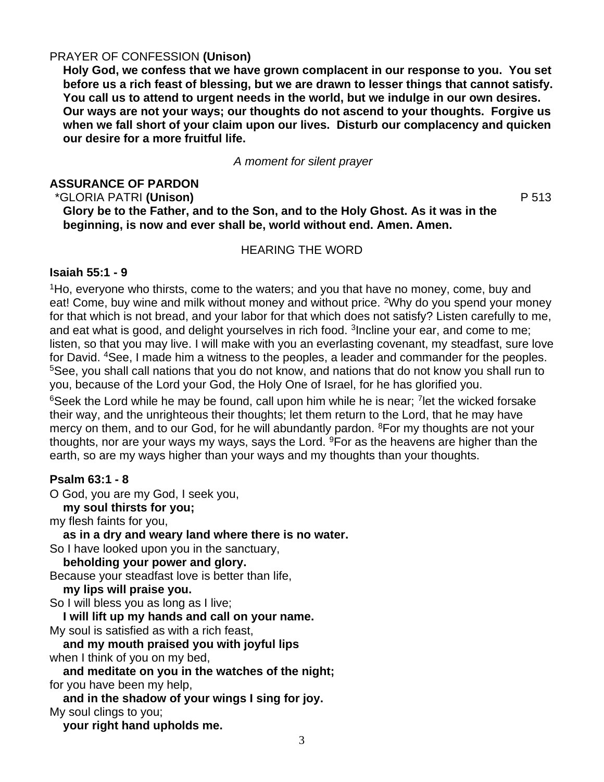# PRAYER OF CONFESSION **(Unison)**

**Holy God, we confess that we have grown complacent in our response to you. You set before us a rich feast of blessing, but we are drawn to lesser things that cannot satisfy. You call us to attend to urgent needs in the world, but we indulge in our own desires. Our ways are not your ways; our thoughts do not ascend to your thoughts. Forgive us when we fall short of your claim upon our lives. Disturb our complacency and quicken our desire for a more fruitful life.**

*A moment for silent prayer*

# **ASSURANCE OF PARDON**

\*GLORIA PATRI **(Unison)** P 513 **Glory be to the Father, and to the Son, and to the Holy Ghost. As it was in the beginning, is now and ever shall be, world without end. Amen. Amen.**

### HEARING THE WORD

# **Isaiah 55:1 - 9**

<sup>1</sup>Ho, everyone who thirsts, come to the waters; and you that have no money, come, buy and eat! Come, buy wine and milk without money and without price. <sup>2</sup>Why do you spend your money for that which is not bread, and your labor for that which does not satisfy? Listen carefully to me, and eat what is good, and delight yourselves in rich food. <sup>3</sup>Incline your ear, and come to me; listen, so that you may live. I will make with you an everlasting covenant, my steadfast, sure love for David. <sup>4</sup>See, I made him a witness to the peoples, a leader and commander for the peoples. <sup>5</sup>See, you shall call nations that you do not know, and nations that do not know you shall run to you, because of the Lord your God, the Holy One of Israel, for he has glorified you.

 $6$ Seek the Lord while he may be found, call upon him while he is near; <sup>7</sup> let the wicked forsake their way, and the unrighteous their thoughts; let them return to the Lord, that he may have mercy on them, and to our God, for he will abundantly pardon. <sup>8</sup>For my thoughts are not your thoughts, nor are your ways my ways, says the Lord.  $9$ For as the heavens are higher than the earth, so are my ways higher than your ways and my thoughts than your thoughts.

# **Psalm 63:1 - 8**

O God, you are my God, I seek you,

**my soul thirsts for you;**

my flesh faints for you,

**as in a dry and weary land where there is no water.**

So I have looked upon you in the sanctuary,

**beholding your power and glory.**

Because your steadfast love is better than life,

**my lips will praise you.**

So I will bless you as long as I live;

**I will lift up my hands and call on your name.**

My soul is satisfied as with a rich feast,

**and my mouth praised you with joyful lips** when I think of you on my bed,

**and meditate on you in the watches of the night;** for you have been my help,

**and in the shadow of your wings I sing for joy.** My soul clings to you;

**your right hand upholds me.**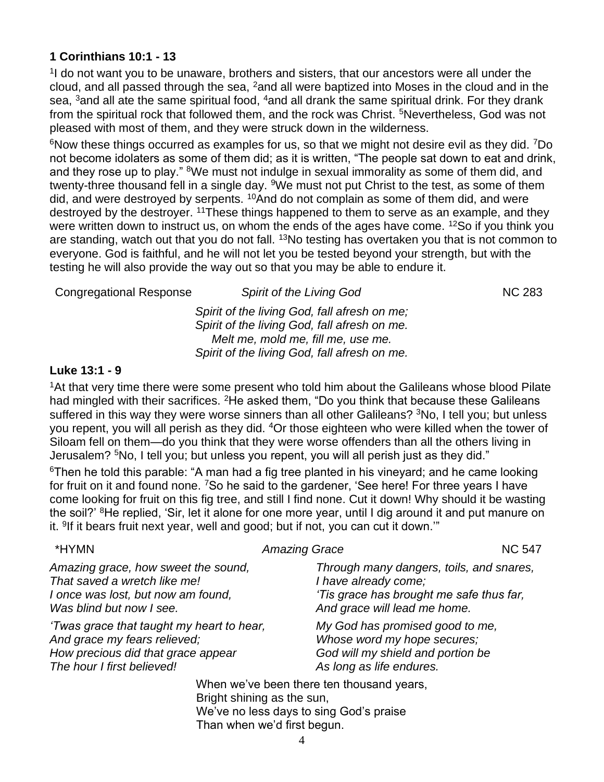# **1 Corinthians 10:1 - 13**

<sup>1</sup> do not want you to be unaware, brothers and sisters, that our ancestors were all under the cloud, and all passed through the sea, <sup>2</sup>and all were baptized into Moses in the cloud and in the sea,  $3$  and all ate the same spiritual food,  $4$  and all drank the same spiritual drink. For they drank from the spiritual rock that followed them, and the rock was Christ. <sup>5</sup>Nevertheless, God was not pleased with most of them, and they were struck down in the wilderness.

 $6$ Now these things occurred as examples for us, so that we might not desire evil as they did.  $7$ Do not become idolaters as some of them did; as it is written, "The people sat down to eat and drink, and they rose up to play." <sup>8</sup>We must not indulge in sexual immorality as some of them did, and twenty-three thousand fell in a single day. <sup>9</sup>We must not put Christ to the test, as some of them did, and were destroyed by serpents. <sup>10</sup>And do not complain as some of them did, and were destroyed by the destroyer. <sup>11</sup>These things happened to them to serve as an example, and they were written down to instruct us, on whom the ends of the ages have come. <sup>12</sup>So if you think you are standing, watch out that you do not fall. <sup>13</sup>No testing has overtaken you that is not common to everyone. God is faithful, and he will not let you be tested beyond your strength, but with the testing he will also provide the way out so that you may be able to endure it.

Congregational Response *Spirit of the Living God* NC 283 *Spirit of the living God, fall afresh on me; Spirit of the living God, fall afresh on me. Melt me, mold me, fill me, use me. Spirit of the living God, fall afresh on me.*

# **Luke 13:1 - 9**

<sup>1</sup>At that very time there were some present who told him about the Galileans whose blood Pilate had mingled with their sacrifices. <sup>2</sup>He asked them, "Do you think that because these Galileans suffered in this way they were worse sinners than all other Galileans? <sup>3</sup>No, I tell you; but unless you repent, you will all perish as they did. <sup>4</sup>Or those eighteen who were killed when the tower of Siloam fell on them—do you think that they were worse offenders than all the others living in Jerusalem? <sup>5</sup>No, I tell you; but unless you repent, you will all perish just as they did."

 $6$ Then he told this parable: "A man had a fig tree planted in his vineyard; and he came looking for fruit on it and found none. <sup>7</sup>So he said to the gardener, 'See here! For three years I have come looking for fruit on this fig tree, and still I find none. Cut it down! Why should it be wasting the soil?' <sup>8</sup>He replied, 'Sir, let it alone for one more year, until I dig around it and put manure on it. <sup>9</sup>If it bears fruit next year, well and good; but if not, you can cut it down.""

| *HYMN                                                                                                                                         | <b>Amazing Grace</b>                                                                                                                         | <b>NC 547</b> |
|-----------------------------------------------------------------------------------------------------------------------------------------------|----------------------------------------------------------------------------------------------------------------------------------------------|---------------|
| Amazing grace, how sweet the sound,<br>That saved a wretch like me!<br>I once was lost, but now am found,<br>Was blind but now I see.         | Through many dangers, toils, and snares,<br>I have already come;<br>'Tis grace has brought me safe thus far,<br>And grace will lead me home. |               |
| 'Twas grace that taught my heart to hear,<br>And grace my fears relieved;<br>How precious did that grace appear<br>The hour I first believed! | My God has promised good to me,<br>Whose word my hope secures;<br>God will my shield and portion be<br>As long as life endures.              |               |
|                                                                                                                                               | When we've been there ten thousand years,<br>Bright shining as the sun                                                                       |               |

Bright shining as the sun, We've no less days to sing God's praise Than when we'd first begun.